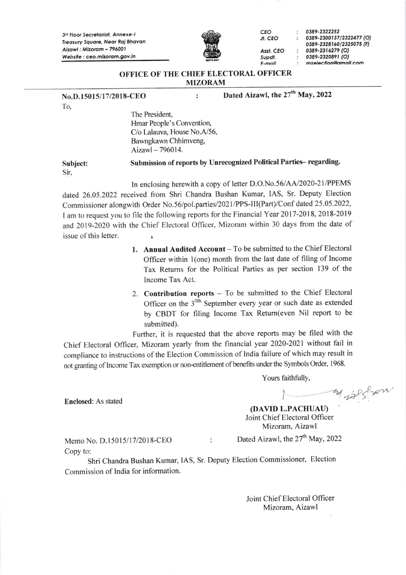3rd Floor Secretariat, Annexe-I Treasury Square, Near Raj Bhavan Aizawl: Mizoram - 796001 Website : ceo.mizoram.gov.in



Jt. cEo

Asst. CEO Supdt E-ndl

cEo 03E9 - 2322252 0389-2300137/2322477 (O) 0389-2328160/2325075 (F) 0389-2316279 (O) 0389-2320891 (O) mzelection@amail.com

#### OFFICE OF THE CHIEF ELECTORAL OFFICER MIZORAM

 $\ddot{\cdot}$ 

No.D.15015/17/2018-CEO

To-

Dated Aizawl, the 27<sup>th</sup> May, 2022

The President, Hmar People's Convention, C/o Lalauva, House No.A/56, Bawngkawn Chhimveng, Aizawl  $-796014$ .

Subject: Sir. Submission of reports by Unrecognized Political Parties- regarding.

In enclosing herewith a copy of letter D.O.No.56/4A/2020-21/PPEMS dated 26.05.2022 received from Shri Chandra Bushan Kumar, IAS, Sr. Deputy Election Commissioner alongwith Order No.56/pol.parties/2021/PPS-III(Part)/Conf dated 25.05.2022, I am to request you to file the following reports for the Financial Year 2017-2018, 2018-2019 and 2019-2020 with the Chief Electoral Officer, Mizoram within 30 days from the date of issue of this letter.

- 1. Annual Audited Account To be submitted to the Chief Electoral Officer within 1(one) month from the last date of filing of Income Tax Retums for the Political Parties as per section 139 of the Income Tax Act.
- 2. Contribution reports To be submitted to the Chief Electoral Officer on the  $3<sup>0</sup>$ <sup>th</sup> September every year or such date as extended by CBDT for filing Income Tax Retum(even Nil report to be submitted).

Further, it is requested that the above reports may be filed with the chief Electoral officer, Mizoram yearly from the financial year 2020-2021 without fail in compliance to instructions of the Election Commission of India failure of which may result in not granting of Income Tax exemption or non-entitlement of benefits under the Symbols Order, 1968.

Yours faithfully,

marfsfran

(DAVID L.PACHUAU) Joint Chief Electoral Officer Mizoram. Aizawl

Copy to:

Enclosed: As stated

Memo No. D.15015/17/2018-CEO : Dated Aizawl, the  $27<sup>th</sup>$  May, 2022

Shri Chandra Bushan Kumar, IAS, Sr. Deputy Election Commissioner, Election Commission of lndia for information.

> Joint Chief Electoral Officer Mizoram, Aizawl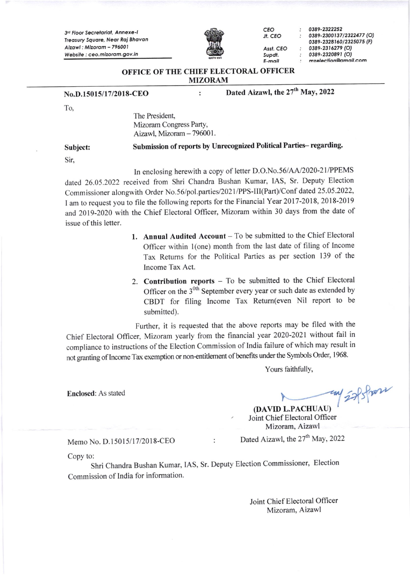3rd Floor Secretariat, Annexe-I Treasury Square, Near Raj Bhavan Aizawl : Mizoram - 796001 Website : ceo.mizoram.gov.in



cEo Jt. CEO

> Supdt E-mdit

Asst. CEO

03E9-2322252 0389-2300137/2322477 (O) 0389-2328160/2325075 (F) 0389-2316279 (O) 0389-2320891 (O) mzelection@amail.com

#### OFFICE OF THE CHIEF ELECTORAL OFFICER MIZORAM

 $\ddot{\cdot}$ 

## No.D.15015/17/2018-CEO

Dated Aizawl, the 27<sup>th</sup> May, 2022

To.

The President, Mizoram Congress Party, Aizawl, Mizoram - 796001.

Subject:

### Submission of reports by Unrecognized Political Parties- regarding.

Sir,

In enclosing herewith a copy of letter D.O.No.56/AA/2020-21/PPEMS dated 26.05.2022 received from Shri Chandra Bushan Kumar, IAS, Sr. Deputy Election Commissioner alongwith Order No.56/pol.parties/202 I /PPS-III(Part)/Conf dated 25.05.2022, I am to request you to file the following reports for the Financial Year 2017-2018, 2018-2019 and 2019-2020 with the Chief Electoral Officer, Mizoram within 30 days fiom the date of issue of this letter.

- 1. Annual Audited Account  $-$  To be submitted to the Chief Electoral Officer within l(one) month from the last date of filing of lncome Tax Returns for the Political Parties as per section 139 of the lncome Tax Act.
- 2. Contribution reports  $-$  To be submitted to the Chief Electoral Officer on the  $3<sup>0</sup>$  September every year or such date as extended by CBDT for filing lncome Tax Retum(even Nil report to be submitted).

Further, it is requested that the above reports may be filed with the Chief Electoral Officer, Mizoram yearly from the financial year 2020-2021 without fail in compliance to instructions of the Election Commission of lndia failure of which may result in not granting of Income Tax exemption or non-entitlement of benefits under the Symbols Order, 1968.

Yours faithfully,

Enclosed: As stated  $\overline{\phantom{a}}$ (DAVID L.PACHUAU)

Joint Chief Electoral Officer<br>Mizoram, Aizawl

Memo No. D.15015/17/2018-CEO : Dated Aizawl, the  $27<sup>th</sup>$  May, 2022

Copy to:

Shri Chandra Bushan Kumar, IAS, Sr. Deputy Election Commissioner, Election Commission of India for information'

> Joint Chief Electoral Officer Mizoram, Aizawl